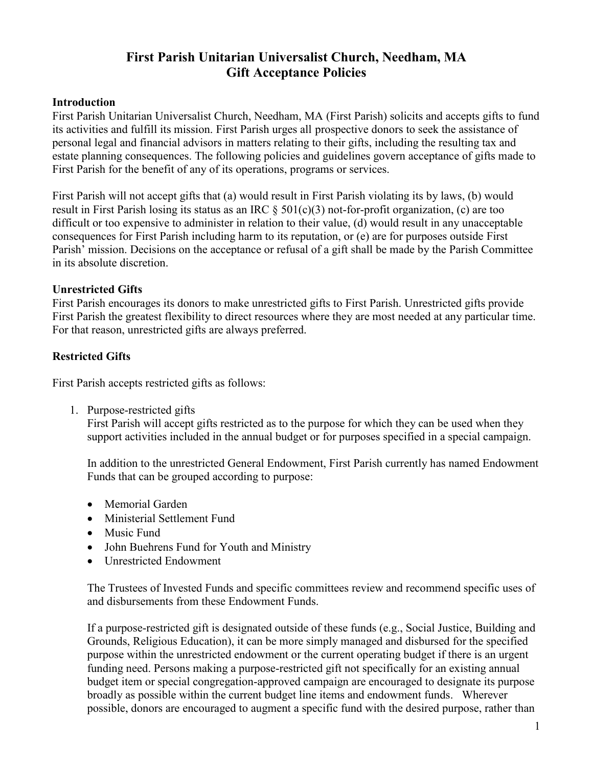# **First Parish Unitarian Universalist Church, Needham, MA Gift Acceptance Policies**

#### **Introduction**

First Parish Unitarian Universalist Church, Needham, MA (First Parish) solicits and accepts gifts to fund its activities and fulfill its mission. First Parish urges all prospective donors to seek the assistance of personal legal and financial advisors in matters relating to their gifts, including the resulting tax and estate planning consequences. The following policies and guidelines govern acceptance of gifts made to First Parish for the benefit of any of its operations, programs or services.

First Parish will not accept gifts that (a) would result in First Parish violating its by laws, (b) would result in First Parish losing its status as an IRC § 501(c)(3) not-for-profit organization, (c) are too difficult or too expensive to administer in relation to their value, (d) would result in any unacceptable consequences for First Parish including harm to its reputation, or (e) are for purposes outside First Parish' mission. Decisions on the acceptance or refusal of a gift shall be made by the Parish Committee in its absolute discretion.

## **Unrestricted Gifts**

First Parish encourages its donors to make unrestricted gifts to First Parish. Unrestricted gifts provide First Parish the greatest flexibility to direct resources where they are most needed at any particular time. For that reason, unrestricted gifts are always preferred.

# **Restricted Gifts**

First Parish accepts restricted gifts as follows:

1. Purpose-restricted gifts

First Parish will accept gifts restricted as to the purpose for which they can be used when they support activities included in the annual budget or for purposes specified in a special campaign.

In addition to the unrestricted General Endowment, First Parish currently has named Endowment Funds that can be grouped according to purpose:

- Memorial Garden
- Ministerial Settlement Fund
- Music Fund
- John Buehrens Fund for Youth and Ministry
- Unrestricted Endowment

The Trustees of Invested Funds and specific committees review and recommend specific uses of and disbursements from these Endowment Funds.

If a purpose-restricted gift is designated outside of these funds (e.g., Social Justice, Building and Grounds, Religious Education), it can be more simply managed and disbursed for the specified purpose within the unrestricted endowment or the current operating budget if there is an urgent funding need. Persons making a purpose-restricted gift not specifically for an existing annual budget item or special congregation-approved campaign are encouraged to designate its purpose broadly as possible within the current budget line items and endowment funds. Wherever possible, donors are encouraged to augment a specific fund with the desired purpose, rather than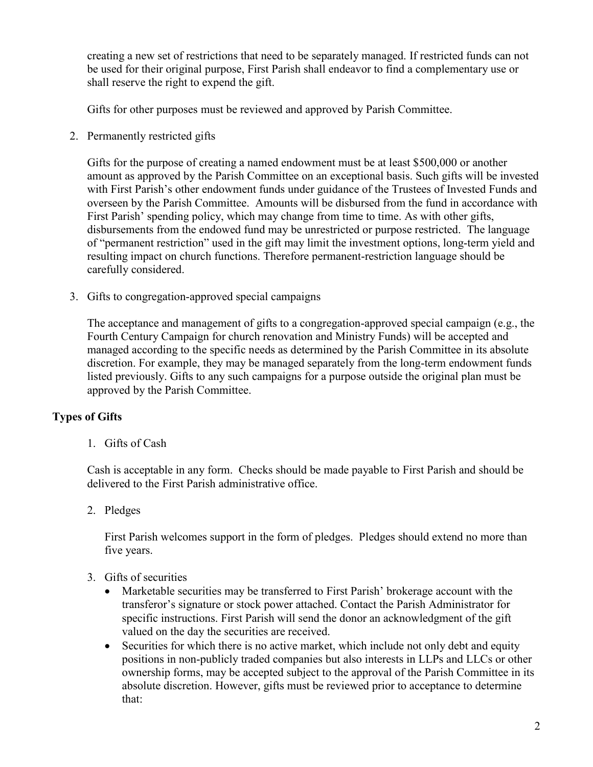creating a new set of restrictions that need to be separately managed. If restricted funds can not be used for their original purpose, First Parish shall endeavor to find a complementary use or shall reserve the right to expend the gift.

Gifts for other purposes must be reviewed and approved by Parish Committee.

2. Permanently restricted gifts

Gifts for the purpose of creating a named endowment must be at least \$500,000 or another amount as approved by the Parish Committee on an exceptional basis. Such gifts will be invested with First Parish's other endowment funds under guidance of the Trustees of Invested Funds and overseen by the Parish Committee. Amounts will be disbursed from the fund in accordance with First Parish' spending policy, which may change from time to time. As with other gifts, disbursements from the endowed fund may be unrestricted or purpose restricted. The language of "permanent restriction" used in the gift may limit the investment options, long-term yield and resulting impact on church functions. Therefore permanent-restriction language should be carefully considered.

3. Gifts to congregation-approved special campaigns

The acceptance and management of gifts to a congregation-approved special campaign (e.g., the Fourth Century Campaign for church renovation and Ministry Funds) will be accepted and managed according to the specific needs as determined by the Parish Committee in its absolute discretion. For example, they may be managed separately from the long-term endowment funds listed previously. Gifts to any such campaigns for a purpose outside the original plan must be approved by the Parish Committee.

# **Types of Gifts**

1. Gifts of Cash

Cash is acceptable in any form. Checks should be made payable to First Parish and should be delivered to the First Parish administrative office.

2. Pledges

First Parish welcomes support in the form of pledges. Pledges should extend no more than five years.

- 3. Gifts of securities
	- Marketable securities may be transferred to First Parish' brokerage account with the transferor's signature or stock power attached. Contact the Parish Administrator for specific instructions. First Parish will send the donor an acknowledgment of the gift valued on the day the securities are received.
	- Securities for which there is no active market, which include not only debt and equity positions in non-publicly traded companies but also interests in LLPs and LLCs or other ownership forms, may be accepted subject to the approval of the Parish Committee in its absolute discretion. However, gifts must be reviewed prior to acceptance to determine that: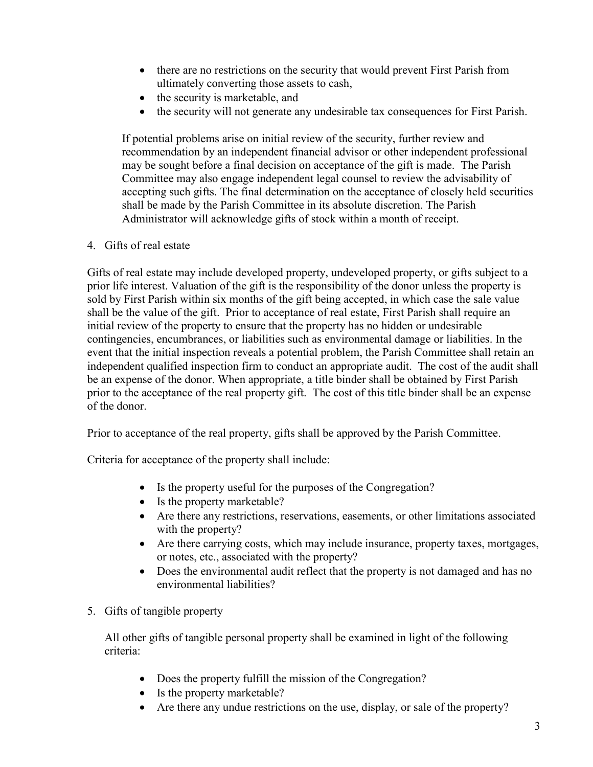- there are no restrictions on the security that would prevent First Parish from ultimately converting those assets to cash,
- the security is marketable, and
- the security will not generate any undesirable tax consequences for First Parish.

If potential problems arise on initial review of the security, further review and recommendation by an independent financial advisor or other independent professional may be sought before a final decision on acceptance of the gift is made. The Parish Committee may also engage independent legal counsel to review the advisability of accepting such gifts. The final determination on the acceptance of closely held securities shall be made by the Parish Committee in its absolute discretion. The Parish Administrator will acknowledge gifts of stock within a month of receipt.

## 4. Gifts of real estate

Gifts of real estate may include developed property, undeveloped property, or gifts subject to a prior life interest. Valuation of the gift is the responsibility of the donor unless the property is sold by First Parish within six months of the gift being accepted, in which case the sale value shall be the value of the gift. Prior to acceptance of real estate, First Parish shall require an initial review of the property to ensure that the property has no hidden or undesirable contingencies, encumbrances, or liabilities such as environmental damage or liabilities. In the event that the initial inspection reveals a potential problem, the Parish Committee shall retain an independent qualified inspection firm to conduct an appropriate audit. The cost of the audit shall be an expense of the donor. When appropriate, a title binder shall be obtained by First Parish prior to the acceptance of the real property gift. The cost of this title binder shall be an expense of the donor.

Prior to acceptance of the real property, gifts shall be approved by the Parish Committee.

Criteria for acceptance of the property shall include:

- Is the property useful for the purposes of the Congregation?
- Is the property marketable?
- Are there any restrictions, reservations, easements, or other limitations associated with the property?
- Are there carrying costs, which may include insurance, property taxes, mortgages, or notes, etc., associated with the property?
- Does the environmental audit reflect that the property is not damaged and has no environmental liabilities?
- 5. Gifts of tangible property

All other gifts of tangible personal property shall be examined in light of the following criteria:

- Does the property fulfill the mission of the Congregation?
- Is the property marketable?
- Are there any undue restrictions on the use, display, or sale of the property?